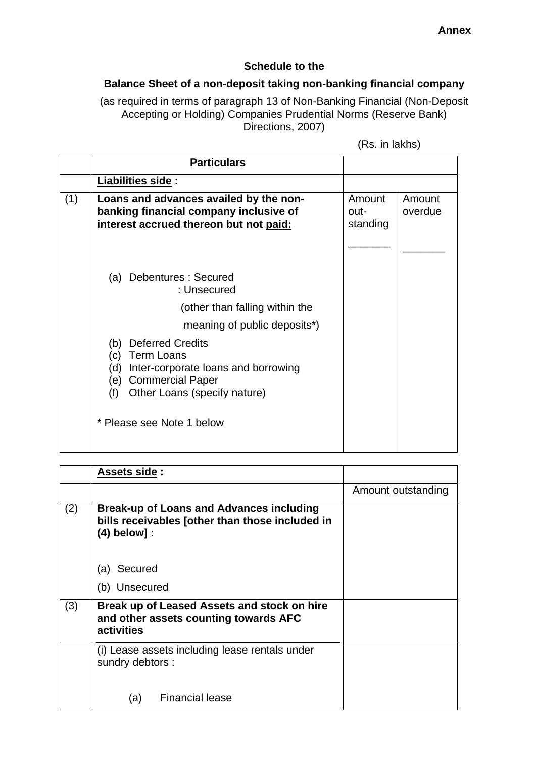## **Schedule to the**

## **Balance Sheet of a non-deposit taking non-banking financial company**

(as required in terms of paragraph 13 of Non-Banking Financial (Non-Deposit Accepting or Holding) Companies Prudential Norms (Reserve Bank) Directions, 2007)

|     | <b>Particulars</b>                                                                                                                                                                |                            |                   |
|-----|-----------------------------------------------------------------------------------------------------------------------------------------------------------------------------------|----------------------------|-------------------|
|     | Liabilities side:                                                                                                                                                                 |                            |                   |
| (1) | Loans and advances availed by the non-<br>banking financial company inclusive of<br>interest accrued thereon but not paid:                                                        | Amount<br>out-<br>standing | Amount<br>overdue |
|     | (a) Debentures: Secured<br>: Unsecured                                                                                                                                            |                            |                   |
|     | (other than falling within the                                                                                                                                                    |                            |                   |
|     | meaning of public deposits <sup>*</sup> )                                                                                                                                         |                            |                   |
|     | <b>Deferred Credits</b><br>(b)<br><b>Term Loans</b><br>(c)<br>(d)<br>Inter-corporate loans and borrowing<br><b>Commercial Paper</b><br>(e)<br>(f)<br>Other Loans (specify nature) |                            |                   |
|     | * Please see Note 1 below                                                                                                                                                         |                            |                   |

|     | Assets side:                                                                                                         |                    |
|-----|----------------------------------------------------------------------------------------------------------------------|--------------------|
|     |                                                                                                                      | Amount outstanding |
| (2) | <b>Break-up of Loans and Advances including</b><br>bills receivables [other than those included in<br>$(4)$ below] : |                    |
|     | (a) Secured                                                                                                          |                    |
|     | (b) Unsecured                                                                                                        |                    |
| (3) | Break up of Leased Assets and stock on hire<br>and other assets counting towards AFC<br>activities                   |                    |
|     | (i) Lease assets including lease rentals under<br>sundry debtors :                                                   |                    |
|     | <b>Financial lease</b><br>(a)                                                                                        |                    |

(Rs. in lakhs)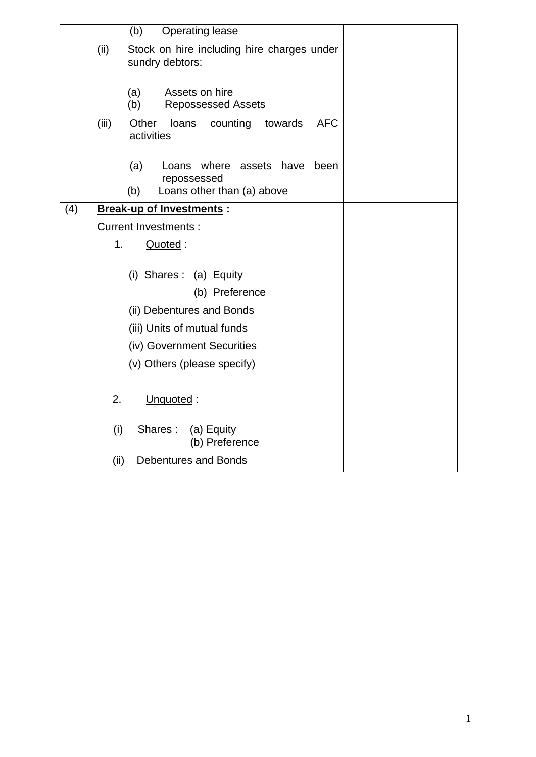|     |       | Operating lease<br>(b)                                                                           |
|-----|-------|--------------------------------------------------------------------------------------------------|
|     | (ii)  | Stock on hire including hire charges under<br>sundry debtors:                                    |
|     |       | (a)<br>Assets on hire<br>(b)<br><b>Repossessed Assets</b>                                        |
|     | (iii) | Other<br><b>AFC</b><br>loans<br>counting<br>towards<br>activities                                |
|     |       | (a)<br>where<br>assets have<br>Loans<br>been<br>repossessed<br>Loans other than (a) above<br>(b) |
|     |       |                                                                                                  |
| (4) |       | <b>Break-up of Investments:</b>                                                                  |
|     |       | Current Investments :                                                                            |
|     | 1.    | Quoted:                                                                                          |
|     |       |                                                                                                  |
|     |       | (i) Shares: (a) Equity                                                                           |
|     |       | (b) Preference                                                                                   |
|     |       | (ii) Debentures and Bonds                                                                        |
|     |       | (iii) Units of mutual funds                                                                      |
|     |       | (iv) Government Securities                                                                       |
|     |       | (v) Others (please specify)                                                                      |
|     |       |                                                                                                  |
|     | 2.    | Unquoted:                                                                                        |
|     | (i)   | Shares:<br>(a) Equity<br>(b) Preference                                                          |
|     | (ii)  | <b>Debentures and Bonds</b>                                                                      |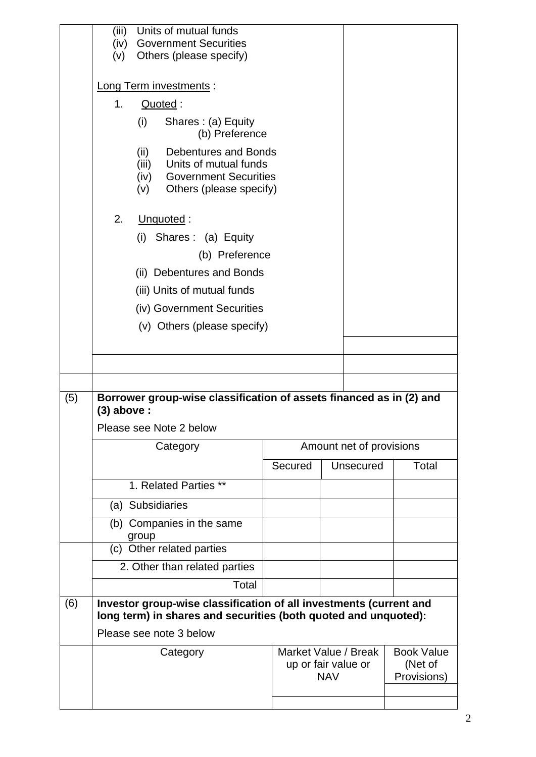|     | (iii)<br>(iv)<br>(v)        | Units of mutual funds<br><b>Government Securities</b><br>Others (please specify)                                                                |                                             |            |           |                                             |
|-----|-----------------------------|-------------------------------------------------------------------------------------------------------------------------------------------------|---------------------------------------------|------------|-----------|---------------------------------------------|
|     | Long Term investments :     |                                                                                                                                                 |                                             |            |           |                                             |
|     | 1 <sub>1</sub><br>Quoted:   |                                                                                                                                                 |                                             |            |           |                                             |
|     |                             | (i)<br>Shares: (a) Equity<br>(b) Preference                                                                                                     |                                             |            |           |                                             |
|     |                             | <b>Debentures and Bonds</b><br>(ii)<br>Units of mutual funds<br>(iii)<br><b>Government Securities</b><br>(iv)<br>(v)<br>Others (please specify) |                                             |            |           |                                             |
|     | 2.                          | Unquoted:                                                                                                                                       |                                             |            |           |                                             |
|     | (i) Shares: (a) Equity      |                                                                                                                                                 |                                             |            |           |                                             |
|     | (b) Preference              |                                                                                                                                                 |                                             |            |           |                                             |
|     | (ii) Debentures and Bonds   |                                                                                                                                                 |                                             |            |           |                                             |
|     | (iii) Units of mutual funds |                                                                                                                                                 |                                             |            |           |                                             |
|     | (iv) Government Securities  |                                                                                                                                                 |                                             |            |           |                                             |
|     | (v) Others (please specify) |                                                                                                                                                 |                                             |            |           |                                             |
|     |                             |                                                                                                                                                 |                                             |            |           |                                             |
|     |                             |                                                                                                                                                 |                                             |            |           |                                             |
| (5) | $(3)$ above :               | Borrower group-wise classification of assets financed as in (2) and                                                                             |                                             |            |           |                                             |
|     |                             | Please see Note 2 below                                                                                                                         |                                             |            |           |                                             |
|     |                             | Category                                                                                                                                        | Amount net of provisions                    |            |           |                                             |
|     |                             |                                                                                                                                                 | Secured                                     |            | Unsecured | Total                                       |
|     |                             | 1. Related Parties **                                                                                                                           |                                             |            |           |                                             |
|     |                             | (a) Subsidiaries                                                                                                                                |                                             |            |           |                                             |
|     |                             | (b) Companies in the same<br>group                                                                                                              |                                             |            |           |                                             |
|     |                             | (c) Other related parties                                                                                                                       |                                             |            |           |                                             |
|     |                             | 2. Other than related parties                                                                                                                   |                                             |            |           |                                             |
|     |                             | Total                                                                                                                                           |                                             |            |           |                                             |
| (6) |                             | Investor group-wise classification of all investments (current and<br>long term) in shares and securities (both quoted and unquoted):           |                                             |            |           |                                             |
|     |                             | Please see note 3 below                                                                                                                         |                                             |            |           |                                             |
|     |                             | Category                                                                                                                                        | Market Value / Break<br>up or fair value or | <b>NAV</b> |           | <b>Book Value</b><br>(Net of<br>Provisions) |
|     |                             |                                                                                                                                                 |                                             |            |           |                                             |